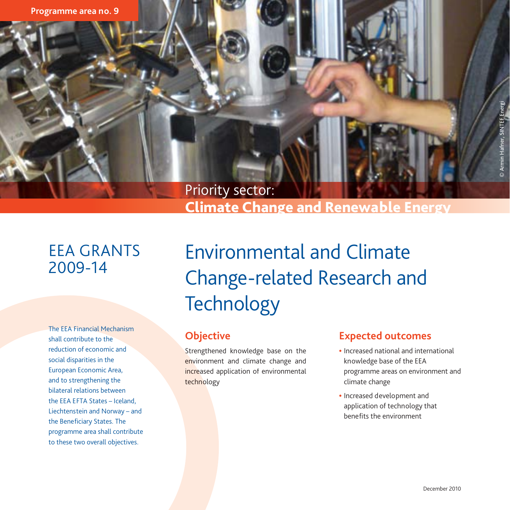

# Climate Change and Renewable Energy

# EEA GRANTS 2009-14

The EEA Financial Mechanism shall contribute to the reduction of economic and social disparities in the European Economic Area, and to strengthening the bilateral relations between the EEA EFTA States – Iceland, Liechtenstein and Norway – and the Beneficiary States. The programme area shall contribute to these two overall objectives.

Environmental and Climate Change-related Research and **Technology** 

### **Objective**

Strengthened knowledge base on the environment and climate change and increased application of environmental technology

#### **Expected outcomes**

- Increased national and international knowledge base of the EEA programme areas on environment and climate change
- Increased development and application of technology that benefits the environment